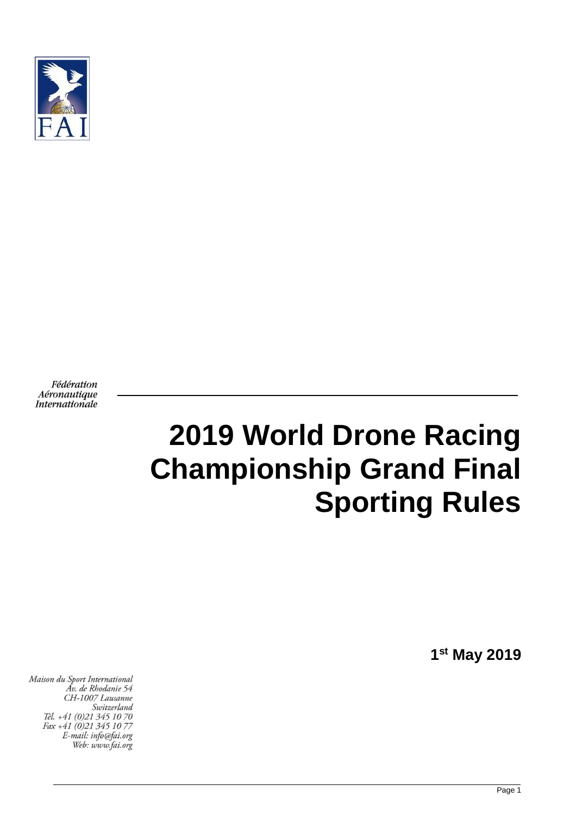

Fédération Aéronautique Internationale

# **2019 World Drone Racing Championship Grand Final Sporting Rules**

**1 st May 2019**

Maison du Sport International Áv. de Rhodanie 54 CH-1007 Lausanne Switzerland Tél. +41 (0)21 345 10 70 Fax +41 (0)21 345 10 77 E-mail: info@fai.org Web: www.fai.org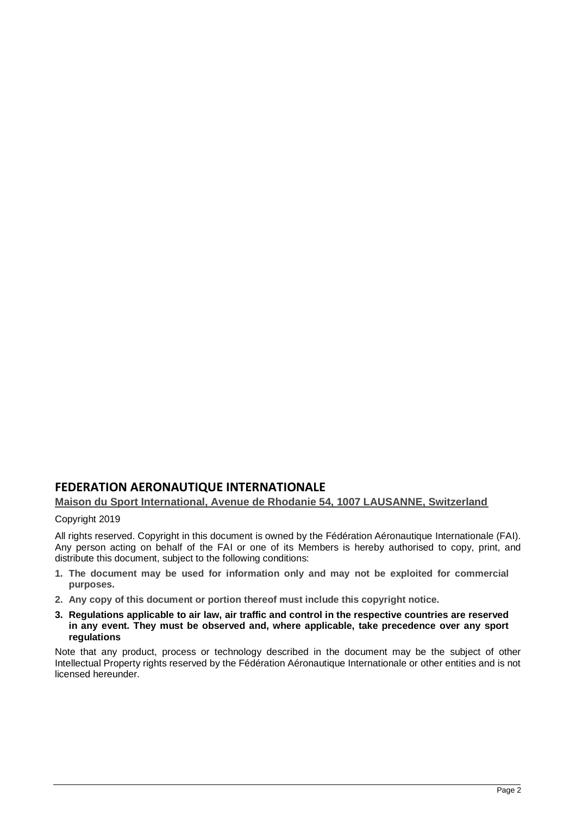# **FEDERATION AERONAUTIQUE INTERNATIONALE**

## **Maison du Sport International, Avenue de Rhodanie 54, 1007 LAUSANNE, Switzerland**

#### Copyright 2019

All rights reserved. Copyright in this document is owned by the Fédération Aéronautique Internationale (FAI). Any person acting on behalf of the FAI or one of its Members is hereby authorised to copy, print, and distribute this document, subject to the following conditions:

- **1. The document may be used for information only and may not be exploited for commercial purposes.**
- **2. Any copy of this document or portion thereof must include this copyright notice.**
- **3. Regulations applicable to air law, air traffic and control in the respective countries are reserved in any event. They must be observed and, where applicable, take precedence over any sport regulations**

Note that any product, process or technology described in the document may be the subject of other Intellectual Property rights reserved by the Fédération Aéronautique Internationale or other entities and is not licensed hereunder.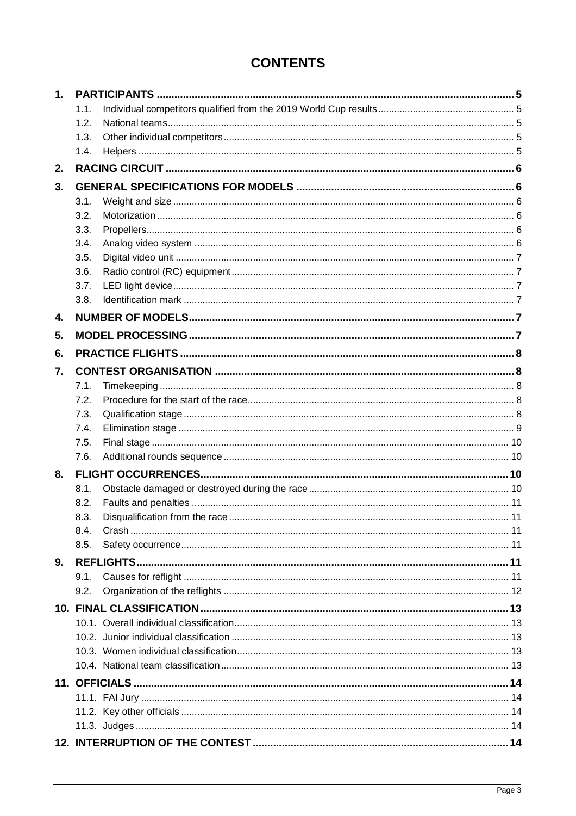# **CONTENTS**

| 1. |      |                                |    |
|----|------|--------------------------------|----|
|    | 1.1. |                                |    |
|    | 1.2. |                                |    |
|    | 1.3. |                                |    |
|    | 1.4. |                                |    |
| 2. |      |                                |    |
| 3. |      |                                |    |
|    | 3.1. |                                |    |
|    | 3.2. |                                |    |
|    | 3.3. |                                |    |
|    | 3.4. |                                |    |
|    | 3.5. |                                |    |
|    | 3.6. |                                |    |
|    | 3.7. |                                |    |
|    | 3.8. |                                |    |
| 4. |      |                                |    |
| 5. |      |                                |    |
| 6. |      |                                |    |
| 7. |      |                                |    |
|    | 7.1. |                                |    |
|    | 7.2. |                                |    |
|    | 7.3. |                                |    |
|    | 7.4. |                                |    |
|    | 7.5. |                                |    |
|    | 7.6. |                                |    |
| 8. |      |                                |    |
|    | 8.1. |                                |    |
|    | 8.2. |                                |    |
|    | 8.3. | Disqualification from the race | 11 |
|    | 8.4. |                                |    |
|    | 8.5. |                                |    |
| 9. |      |                                |    |
|    | 9.1. |                                |    |
|    | 9.2. |                                |    |
|    |      |                                |    |
|    |      |                                |    |
|    |      |                                |    |
|    |      |                                |    |
|    |      |                                |    |
|    |      |                                |    |
|    |      |                                |    |
|    |      |                                |    |
|    |      |                                |    |
|    |      |                                |    |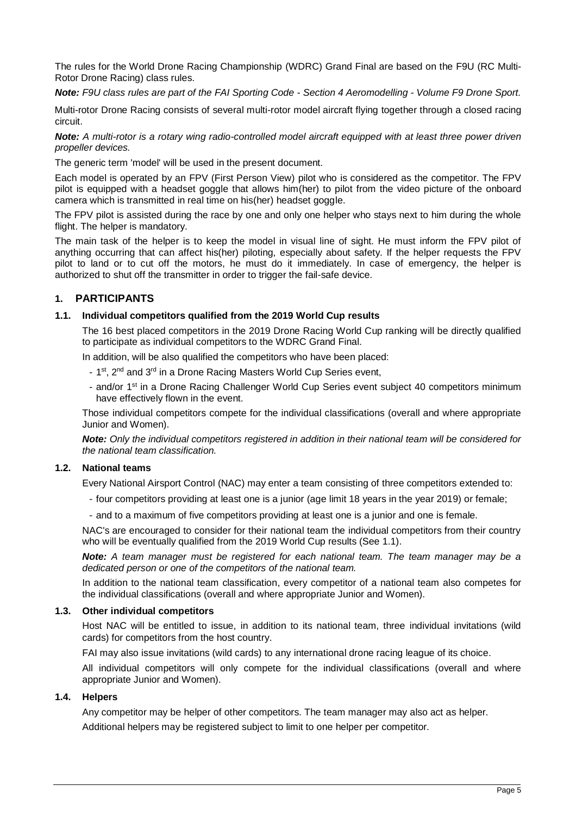The rules for the World Drone Racing Championship (WDRC) Grand Final are based on the F9U (RC Multi-Rotor Drone Racing) class rules.

*Note: F9U class rules are part of the FAI Sporting Code - Section 4 Aeromodelling - Volume F9 Drone Sport.*

Multi-rotor Drone Racing consists of several multi-rotor model aircraft flying together through a closed racing circuit.

*Note: A multi-rotor is a rotary wing radio-controlled model aircraft equipped with at least three power driven propeller devices.*

The generic term 'model' will be used in the present document.

Each model is operated by an FPV (First Person View) pilot who is considered as the competitor. The FPV pilot is equipped with a headset goggle that allows him(her) to pilot from the video picture of the onboard camera which is transmitted in real time on his(her) headset goggle.

The FPV pilot is assisted during the race by one and only one helper who stays next to him during the whole flight. The helper is mandatory.

The main task of the helper is to keep the model in visual line of sight. He must inform the FPV pilot of anything occurring that can affect his(her) piloting, especially about safety. If the helper requests the FPV pilot to land or to cut off the motors, he must do it immediately. In case of emergency, the helper is authorized to shut off the transmitter in order to trigger the fail-safe device.

## <span id="page-4-0"></span>**1. PARTICIPANTS**

#### <span id="page-4-1"></span>**1.1. Individual competitors qualified from the 2019 World Cup results**

The 16 best placed competitors in the 2019 Drone Racing World Cup ranking will be directly qualified to participate as individual competitors to the WDRC Grand Final.

In addition, will be also qualified the competitors who have been placed:

- 1<sup>st</sup>, 2<sup>nd</sup> and 3<sup>rd</sup> in a Drone Racing Masters World Cup Series event,
- and/or 1<sup>st</sup> in a Drone Racing Challenger World Cup Series event subject 40 competitors minimum have effectively flown in the event.

Those individual competitors compete for the individual classifications (overall and where appropriate Junior and Women).

*Note: Only the individual competitors registered in addition in their national team will be considered for the national team classification.*

#### <span id="page-4-2"></span>**1.2. National teams**

Every National Airsport Control (NAC) may enter a team consisting of three competitors extended to:

- four competitors providing at least one is a junior (age limit 18 years in the year 2019) or female;
- and to a maximum of five competitors providing at least one is a junior and one is female.

NAC's are encouraged to consider for their national team the individual competitors from their country who will be eventually qualified from the 2019 World Cup results (See [1.1\)](#page-4-1).

*Note: A team manager must be registered for each national team. The team manager may be a dedicated person or one of the competitors of the national team.*

In addition to the national team classification, every competitor of a national team also competes for the individual classifications (overall and where appropriate Junior and Women).

#### <span id="page-4-3"></span>**1.3. Other individual competitors**

Host NAC will be entitled to issue, in addition to its national team, three individual invitations (wild cards) for competitors from the host country.

FAI may also issue invitations (wild cards) to any international drone racing league of its choice.

All individual competitors will only compete for the individual classifications (overall and where appropriate Junior and Women).

#### <span id="page-4-4"></span>**1.4. Helpers**

<span id="page-4-5"></span>Any competitor may be helper of other competitors. The team manager may also act as helper. Additional helpers may be registered subject to limit to one helper per competitor.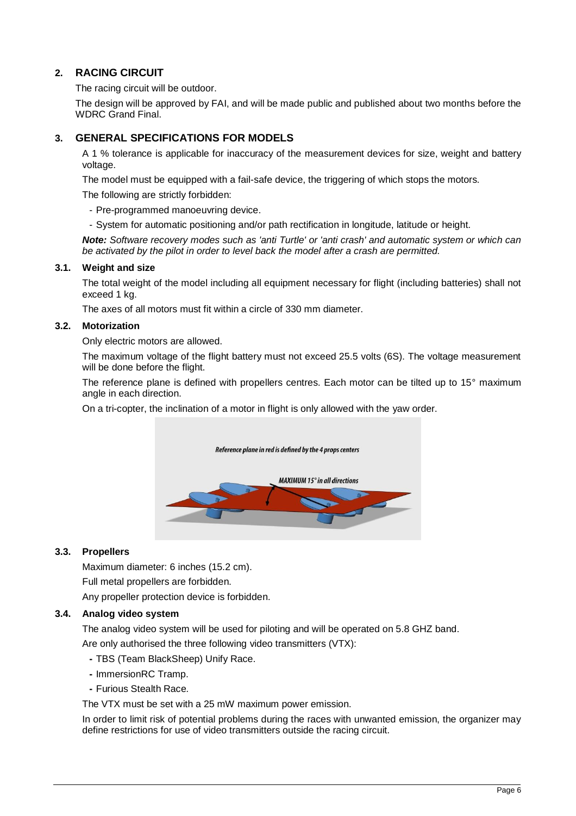# **2. RACING CIRCUIT**

The racing circuit will be outdoor.

The design will be approved by FAI, and will be made public and published about two months before the WDRC Grand Final.

## <span id="page-5-0"></span>**3. GENERAL SPECIFICATIONS FOR MODELS**

A 1 % tolerance is applicable for inaccuracy of the measurement devices for size, weight and battery voltage.

The model must be equipped with a fail-safe device, the triggering of which stops the motors.

The following are strictly forbidden:

- Pre-programmed manoeuvring device.
- System for automatic positioning and/or path rectification in longitude, latitude or height.

*Note: Software recovery modes such as 'anti Turtle' or 'anti crash' and automatic system or which can be activated by the pilot in order to level back the model after a crash are permitted.*

#### <span id="page-5-1"></span>**3.1. Weight and size**

The total weight of the model including all equipment necessary for flight (including batteries) shall not exceed 1 kg.

The axes of all motors must fit within a circle of 330 mm diameter.

#### <span id="page-5-2"></span>**3.2. Motorization**

Only electric motors are allowed.

The maximum voltage of the flight battery must not exceed 25.5 volts (6S). The voltage measurement will be done before the flight.

The reference plane is defined with propellers centres. Each motor can be tilted up to 15° maximum angle in each direction.

On a tri-copter, the inclination of a motor in flight is only allowed with the yaw order.



#### <span id="page-5-3"></span>**3.3. Propellers**

Maximum diameter: 6 inches (15.2 cm). Full metal propellers are forbidden.

Any propeller protection device is forbidden.

#### <span id="page-5-4"></span>**3.4. Analog video system**

The analog video system will be used for piloting and will be operated on 5.8 GHZ band.

Are only authorised the three following video transmitters (VTX):

- **-** TBS (Team BlackSheep) Unify Race.
- **-** ImmersionRC Tramp.
- **-** Furious Stealth Race*.*

The VTX must be set with a 25 mW maximum power emission.

In order to limit risk of potential problems during the races with unwanted emission, the organizer may define restrictions for use of video transmitters outside the racing circuit.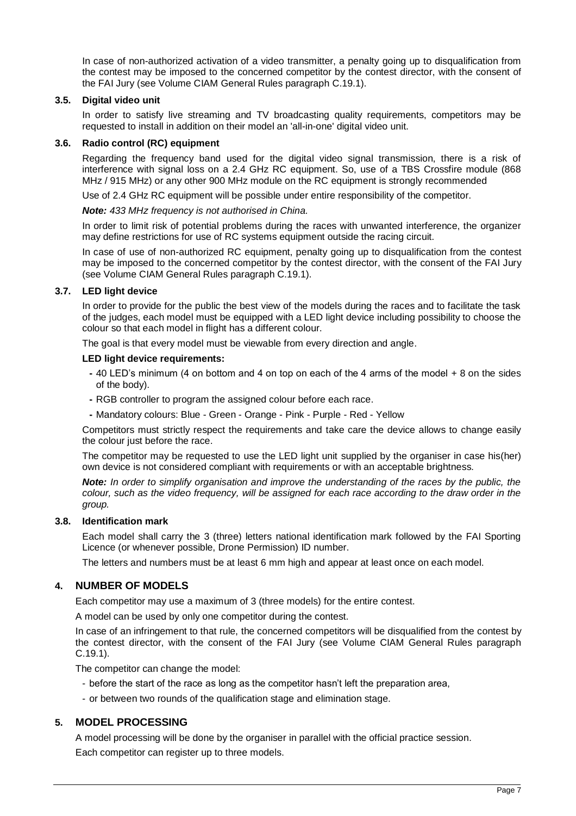In case of non-authorized activation of a video transmitter, a penalty going up to disqualification from the contest may be imposed to the concerned competitor by the contest director, with the consent of the FAI Jury (see Volume CIAM General Rules paragraph C.19.1).

#### <span id="page-6-0"></span>**3.5. Digital video unit**

In order to satisfy live streaming and TV broadcasting quality requirements, competitors may be requested to install in addition on their model an 'all-in-one' digital video unit.

#### <span id="page-6-1"></span>**3.6. Radio control (RC) equipment**

Regarding the frequency band used for the digital video signal transmission, there is a risk of interference with signal loss on a 2.4 GHz RC equipment. So, use of a TBS Crossfire module (868 MHz / 915 MHz) or any other 900 MHz module on the RC equipment is strongly recommended

Use of 2.4 GHz RC equipment will be possible under entire responsibility of the competitor.

#### *Note: 433 MHz frequency is not authorised in China.*

In order to limit risk of potential problems during the races with unwanted interference, the organizer may define restrictions for use of RC systems equipment outside the racing circuit.

In case of use of non-authorized RC equipment, penalty going up to disqualification from the contest may be imposed to the concerned competitor by the contest director, with the consent of the FAI Jury (see Volume CIAM General Rules paragraph C.19.1).

#### <span id="page-6-2"></span>**3.7. LED light device**

In order to provide for the public the best view of the models during the races and to facilitate the task of the judges, each model must be equipped with a LED light device including possibility to choose the colour so that each model in flight has a different colour.

The goal is that every model must be viewable from every direction and angle.

#### **LED light device requirements:**

- **-** 40 LED's minimum (4 on bottom and 4 on top on each of the 4 arms of the model + 8 on the sides of the body).
- **-** RGB controller to program the assigned colour before each race.
- **-** Mandatory colours: Blue Green Orange Pink Purple Red Yellow

Competitors must strictly respect the requirements and take care the device allows to change easily the colour just before the race.

The competitor may be requested to use the LED light unit supplied by the organiser in case his(her) own device is not considered compliant with requirements or with an acceptable brightness.

*Note: In order to simplify organisation and improve the understanding of the races by the public, the colour, such as the video frequency, will be assigned for each race according to the draw order in the group.*

#### <span id="page-6-3"></span>**3.8. Identification mark**

Each model shall carry the 3 (three) letters national identification mark followed by the FAI Sporting Licence (or whenever possible, Drone Permission) ID number.

The letters and numbers must be at least 6 mm high and appear at least once on each model.

#### <span id="page-6-4"></span>**4. NUMBER OF MODELS**

Each competitor may use a maximum of 3 (three models) for the entire contest.

A model can be used by only one competitor during the contest.

In case of an infringement to that rule, the concerned competitors will be disqualified from the contest by the contest director, with the consent of the FAI Jury (see Volume CIAM General Rules paragraph C.19.1).

The competitor can change the model:

- before the start of the race as long as the competitor hasn't left the preparation area,
- or between two rounds of the qualification stage and elimination stage.

#### <span id="page-6-5"></span>**5. MODEL PROCESSING**

A model processing will be done by the organiser in parallel with the official practice session. Each competitor can register up to three models.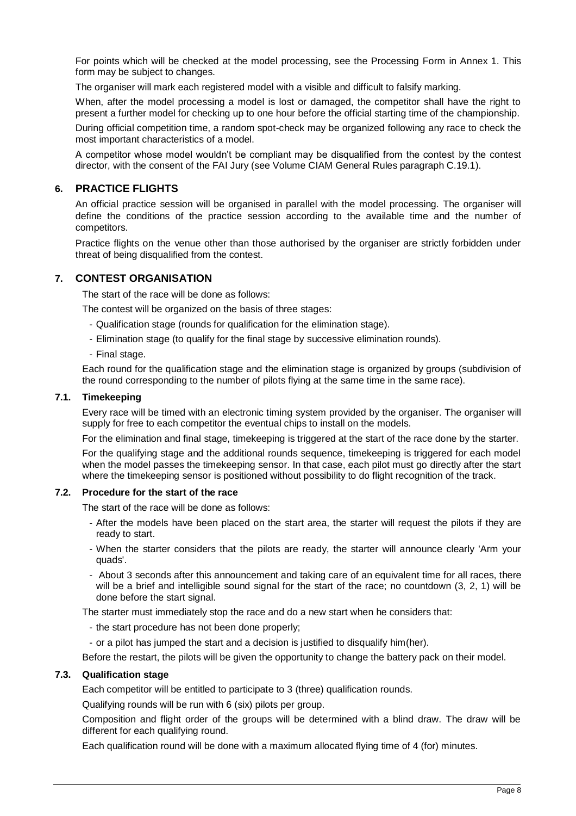For points which will be checked at the model processing, see the Processing Form in Annex 1. This form may be subject to changes.

The organiser will mark each registered model with a visible and difficult to falsify marking.

When, after the model processing a model is lost or damaged, the competitor shall have the right to present a further model for checking up to one hour before the official starting time of the championship.

During official competition time, a random spot-check may be organized following any race to check the most important characteristics of a model.

A competitor whose model wouldn't be compliant may be disqualified from the contest by the contest director, with the consent of the FAI Jury (see Volume CIAM General Rules paragraph C.19.1).

#### <span id="page-7-0"></span>**6. PRACTICE FLIGHTS**

An official practice session will be organised in parallel with the model processing. The organiser will define the conditions of the practice session according to the available time and the number of competitors.

Practice flights on the venue other than those authorised by the organiser are strictly forbidden under threat of being disqualified from the contest.

#### <span id="page-7-1"></span>**7. CONTEST ORGANISATION**

The start of the race will be done as follows:

The contest will be organized on the basis of three stages:

- Qualification stage (rounds for qualification for the elimination stage).
- Elimination stage (to qualify for the final stage by successive elimination rounds).
- Final stage.

Each round for the qualification stage and the elimination stage is organized by groups (subdivision of the round corresponding to the number of pilots flying at the same time in the same race).

#### <span id="page-7-2"></span>**7.1. Timekeeping**

Every race will be timed with an electronic timing system provided by the organiser. The organiser will supply for free to each competitor the eventual chips to install on the models.

For the elimination and final stage, timekeeping is triggered at the start of the race done by the starter.

For the qualifying stage and the additional rounds sequence, timekeeping is triggered for each model when the model passes the timekeeping sensor. In that case, each pilot must go directly after the start where the timekeeping sensor is positioned without possibility to do flight recognition of the track.

#### <span id="page-7-3"></span>**7.2. Procedure for the start of the race**

The start of the race will be done as follows:

- After the models have been placed on the start area, the starter will request the pilots if they are ready to start.
- When the starter considers that the pilots are ready, the starter will announce clearly 'Arm your quads'.
- About 3 seconds after this announcement and taking care of an equivalent time for all races, there will be a brief and intelligible sound signal for the start of the race; no countdown (3, 2, 1) will be done before the start signal.

The starter must immediately stop the race and do a new start when he considers that:

- the start procedure has not been done properly;
- or a pilot has jumped the start and a decision is justified to disqualify him(her).

Before the restart, the pilots will be given the opportunity to change the battery pack on their model.

#### <span id="page-7-4"></span>**7.3. Qualification stage**

Each competitor will be entitled to participate to 3 (three) qualification rounds.

Qualifying rounds will be run with 6 (six) pilots per group.

Composition and flight order of the groups will be determined with a blind draw. The draw will be different for each qualifying round.

Each qualification round will be done with a maximum allocated flying time of 4 (for) minutes.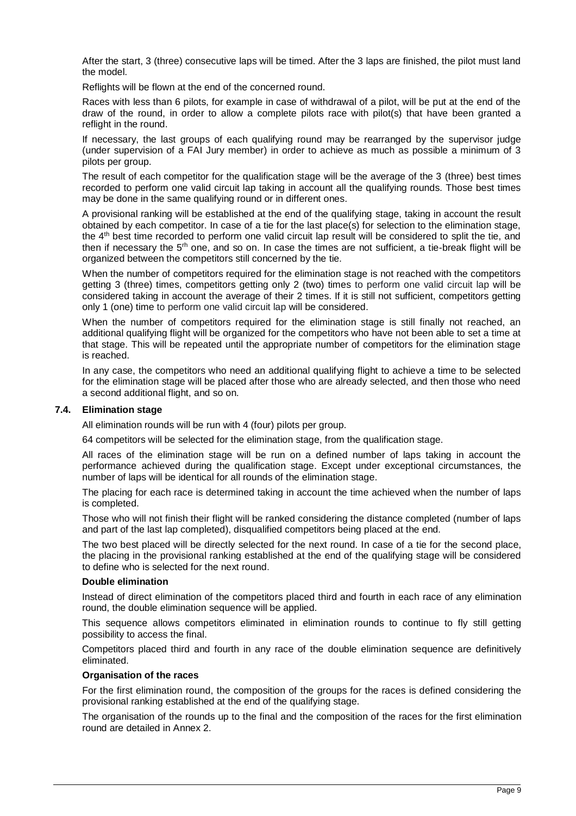After the start, 3 (three) consecutive laps will be timed. After the 3 laps are finished, the pilot must land the model.

Reflights will be flown at the end of the concerned round.

Races with less than 6 pilots, for example in case of withdrawal of a pilot, will be put at the end of the draw of the round, in order to allow a complete pilots race with pilot(s) that have been granted a reflight in the round.

If necessary, the last groups of each qualifying round may be rearranged by the supervisor judge (under supervision of a FAI Jury member) in order to achieve as much as possible a minimum of 3 pilots per group.

The result of each competitor for the qualification stage will be the average of the 3 (three) best times recorded to perform one valid circuit lap taking in account all the qualifying rounds. Those best times may be done in the same qualifying round or in different ones.

A provisional ranking will be established at the end of the qualifying stage, taking in account the result obtained by each competitor. In case of a tie for the last place(s) for selection to the elimination stage, the 4th best time recorded to perform one valid circuit lap result will be considered to split the tie, and then if necessary the 5rh one, and so on. In case the times are not sufficient, a tie-break flight will be organized between the competitors still concerned by the tie.

When the number of competitors required for the elimination stage is not reached with the competitors getting 3 (three) times, competitors getting only 2 (two) times to perform one valid circuit lap will be considered taking in account the average of their 2 times. If it is still not sufficient, competitors getting only 1 (one) time to perform one valid circuit lap will be considered.

When the number of competitors required for the elimination stage is still finally not reached, an additional qualifying flight will be organized for the competitors who have not been able to set a time at that stage. This will be repeated until the appropriate number of competitors for the elimination stage is reached.

In any case, the competitors who need an additional qualifying flight to achieve a time to be selected for the elimination stage will be placed after those who are already selected, and then those who need a second additional flight, and so on.

#### <span id="page-8-0"></span>**7.4. Elimination stage**

All elimination rounds will be run with 4 (four) pilots per group.

64 competitors will be selected for the elimination stage, from the qualification stage.

All races of the elimination stage will be run on a defined number of laps taking in account the performance achieved during the qualification stage. Except under exceptional circumstances, the number of laps will be identical for all rounds of the elimination stage.

The placing for each race is determined taking in account the time achieved when the number of laps is completed.

Those who will not finish their flight will be ranked considering the distance completed (number of laps and part of the last lap completed), disqualified competitors being placed at the end.

The two best placed will be directly selected for the next round. In case of a tie for the second place, the placing in the provisional ranking established at the end of the qualifying stage will be considered to define who is selected for the next round.

#### **Double elimination**

Instead of direct elimination of the competitors placed third and fourth in each race of any elimination round, the double elimination sequence will be applied.

This sequence allows competitors eliminated in elimination rounds to continue to fly still getting possibility to access the final.

Competitors placed third and fourth in any race of the double elimination sequence are definitively eliminated.

#### **Organisation of the races**

For the first elimination round, the composition of the groups for the races is defined considering the provisional ranking established at the end of the qualifying stage.

The organisation of the rounds up to the final and the composition of the races for the first elimination round are detailed in Annex 2.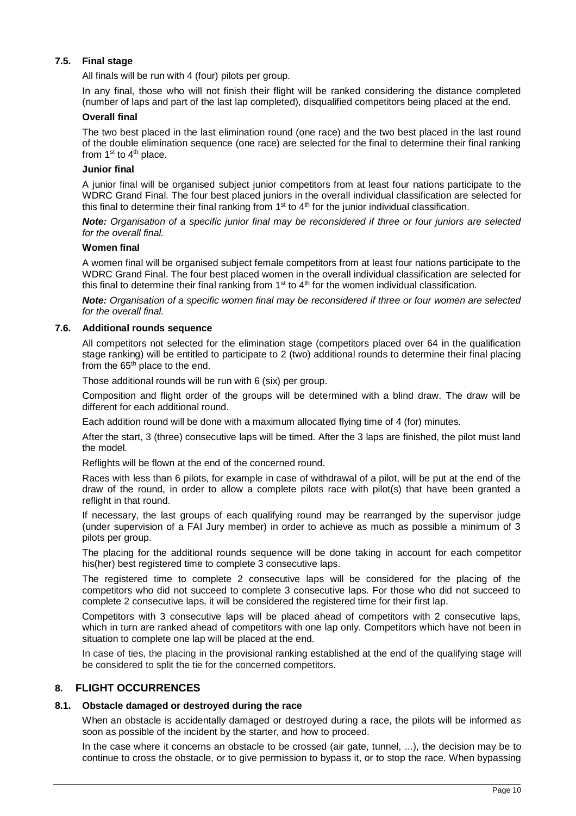#### <span id="page-9-0"></span>**7.5. Final stage**

All finals will be run with 4 (four) pilots per group.

In any final, those who will not finish their flight will be ranked considering the distance completed (number of laps and part of the last lap completed), disqualified competitors being placed at the end.

#### **Overall final**

The two best placed in the last elimination round (one race) and the two best placed in the last round of the double elimination sequence (one race) are selected for the final to determine their final ranking from  $1<sup>st</sup>$  to  $4<sup>th</sup>$  place.

#### **Junior final**

A junior final will be organised subject junior competitors from at least four nations participate to the WDRC Grand Final. The four best placed juniors in the overall individual classification are selected for this final to determine their final ranking from  $1<sup>st</sup>$  to  $4<sup>th</sup>$  for the junior individual classification.

*Note: Organisation of a specific junior final may be reconsidered if three or four juniors are selected for the overall final.*

#### **Women final**

A women final will be organised subject female competitors from at least four nations participate to the WDRC Grand Final. The four best placed women in the overall individual classification are selected for this final to determine their final ranking from  $1<sup>st</sup>$  to 4<sup>th</sup> for the women individual classification.

*Note: Organisation of a specific women final may be reconsidered if three or four women are selected for the overall final.*

#### <span id="page-9-1"></span>**7.6. Additional rounds sequence**

All competitors not selected for the elimination stage (competitors placed over 64 in the qualification stage ranking) will be entitled to participate to 2 (two) additional rounds to determine their final placing from the 65<sup>th</sup> place to the end.

Those additional rounds will be run with 6 (six) per group.

Composition and flight order of the groups will be determined with a blind draw. The draw will be different for each additional round.

Each addition round will be done with a maximum allocated flying time of 4 (for) minutes.

After the start, 3 (three) consecutive laps will be timed. After the 3 laps are finished, the pilot must land the model.

Reflights will be flown at the end of the concerned round.

Races with less than 6 pilots, for example in case of withdrawal of a pilot, will be put at the end of the draw of the round, in order to allow a complete pilots race with pilot(s) that have been granted a reflight in that round.

If necessary, the last groups of each qualifying round may be rearranged by the supervisor judge (under supervision of a FAI Jury member) in order to achieve as much as possible a minimum of 3 pilots per group.

The placing for the additional rounds sequence will be done taking in account for each competitor his(her) best registered time to complete 3 consecutive laps.

The registered time to complete 2 consecutive laps will be considered for the placing of the competitors who did not succeed to complete 3 consecutive laps. For those who did not succeed to complete 2 consecutive laps, it will be considered the registered time for their first lap.

Competitors with 3 consecutive laps will be placed ahead of competitors with 2 consecutive laps, which in turn are ranked ahead of competitors with one lap only. Competitors which have not been in situation to complete one lap will be placed at the end.

In case of ties, the placing in the provisional ranking established at the end of the qualifying stage will be considered to split the tie for the concerned competitors.

#### <span id="page-9-2"></span>**8. FLIGHT OCCURRENCES**

#### <span id="page-9-3"></span>**8.1. Obstacle damaged or destroyed during the race**

When an obstacle is accidentally damaged or destroyed during a race, the pilots will be informed as soon as possible of the incident by the starter, and how to proceed.

In the case where it concerns an obstacle to be crossed (air gate, tunnel, ...), the decision may be to continue to cross the obstacle, or to give permission to bypass it, or to stop the race. When bypassing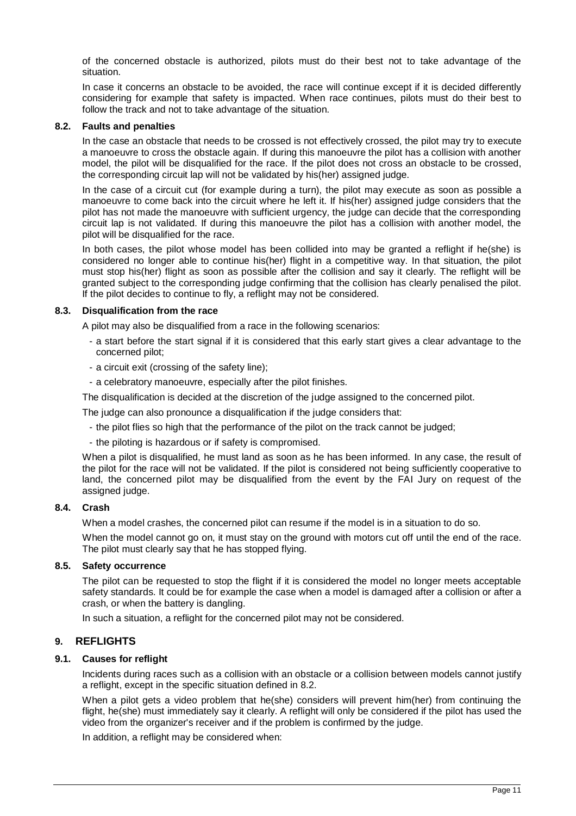of the concerned obstacle is authorized, pilots must do their best not to take advantage of the situation.

In case it concerns an obstacle to be avoided, the race will continue except if it is decided differently considering for example that safety is impacted. When race continues, pilots must do their best to follow the track and not to take advantage of the situation.

#### <span id="page-10-0"></span>**8.2. Faults and penalties**

In the case an obstacle that needs to be crossed is not effectively crossed, the pilot may try to execute a manoeuvre to cross the obstacle again. If during this manoeuvre the pilot has a collision with another model, the pilot will be disqualified for the race. If the pilot does not cross an obstacle to be crossed, the corresponding circuit lap will not be validated by his(her) assigned judge.

In the case of a circuit cut (for example during a turn), the pilot may execute as soon as possible a manoeuvre to come back into the circuit where he left it. If his(her) assigned judge considers that the pilot has not made the manoeuvre with sufficient urgency, the judge can decide that the corresponding circuit lap is not validated. If during this manoeuvre the pilot has a collision with another model, the pilot will be disqualified for the race.

In both cases, the pilot whose model has been collided into may be granted a reflight if he(she) is considered no longer able to continue his(her) flight in a competitive way. In that situation, the pilot must stop his(her) flight as soon as possible after the collision and say it clearly. The reflight will be granted subject to the corresponding judge confirming that the collision has clearly penalised the pilot. If the pilot decides to continue to fly, a reflight may not be considered.

#### <span id="page-10-1"></span>**8.3. Disqualification from the race**

A pilot may also be disqualified from a race in the following scenarios:

- a start before the start signal if it is considered that this early start gives a clear advantage to the concerned pilot;
- a circuit exit (crossing of the safety line);
- a celebratory manoeuvre, especially after the pilot finishes.

The disqualification is decided at the discretion of the judge assigned to the concerned pilot.

The judge can also pronounce a disqualification if the judge considers that:

- the pilot flies so high that the performance of the pilot on the track cannot be judged;
- the piloting is hazardous or if safety is compromised.

When a pilot is disqualified, he must land as soon as he has been informed. In any case, the result of the pilot for the race will not be validated. If the pilot is considered not being sufficiently cooperative to land, the concerned pilot may be disqualified from the event by the FAI Jury on request of the assigned judge.

#### <span id="page-10-2"></span>**8.4. Crash**

When a model crashes, the concerned pilot can resume if the model is in a situation to do so.

When the model cannot go on, it must stay on the ground with motors cut off until the end of the race. The pilot must clearly say that he has stopped flying.

#### <span id="page-10-3"></span>**8.5. Safety occurrence**

The pilot can be requested to stop the flight if it is considered the model no longer meets acceptable safety standards. It could be for example the case when a model is damaged after a collision or after a crash, or when the battery is dangling.

In such a situation, a reflight for the concerned pilot may not be considered.

#### <span id="page-10-4"></span>**9. REFLIGHTS**

#### <span id="page-10-5"></span>**9.1. Causes for reflight**

Incidents during races such as a collision with an obstacle or a collision between models cannot justify a reflight, except in the specific situation defined in [8.2.](#page-10-0)

When a pilot gets a video problem that he(she) considers will prevent him(her) from continuing the flight, he(she) must immediately say it clearly. A reflight will only be considered if the pilot has used the video from the organizer's receiver and if the problem is confirmed by the judge.

In addition, a reflight may be considered when: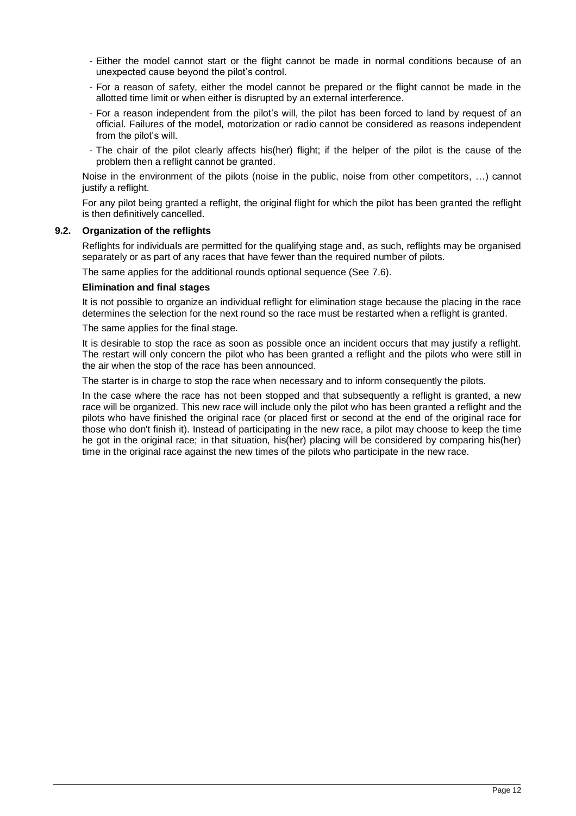- Either the model cannot start or the flight cannot be made in normal conditions because of an unexpected cause beyond the pilot's control.
- For a reason of safety, either the model cannot be prepared or the flight cannot be made in the allotted time limit or when either is disrupted by an external interference.
- For a reason independent from the pilot's will, the pilot has been forced to land by request of an official. Failures of the model, motorization or radio cannot be considered as reasons independent from the pilot's will.
- The chair of the pilot clearly affects his(her) flight; if the helper of the pilot is the cause of the problem then a reflight cannot be granted.

Noise in the environment of the pilots (noise in the public, noise from other competitors, …) cannot justify a reflight.

For any pilot being granted a reflight, the original flight for which the pilot has been granted the reflight is then definitively cancelled.

#### <span id="page-11-0"></span>**9.2. Organization of the reflights**

Reflights for individuals are permitted for the qualifying stage and, as such, reflights may be organised separately or as part of any races that have fewer than the required number of pilots.

The same applies for the additional rounds optional sequence (See [7.6\)](#page-9-1).

#### **Elimination and final stages**

It is not possible to organize an individual reflight for elimination stage because the placing in the race determines the selection for the next round so the race must be restarted when a reflight is granted.

The same applies for the final stage.

It is desirable to stop the race as soon as possible once an incident occurs that may justify a reflight. The restart will only concern the pilot who has been granted a reflight and the pilots who were still in the air when the stop of the race has been announced.

The starter is in charge to stop the race when necessary and to inform consequently the pilots.

In the case where the race has not been stopped and that subsequently a reflight is granted, a new race will be organized. This new race will include only the pilot who has been granted a reflight and the pilots who have finished the original race (or placed first or second at the end of the original race for those who don't finish it). Instead of participating in the new race, a pilot may choose to keep the time he got in the original race; in that situation, his(her) placing will be considered by comparing his(her) time in the original race against the new times of the pilots who participate in the new race.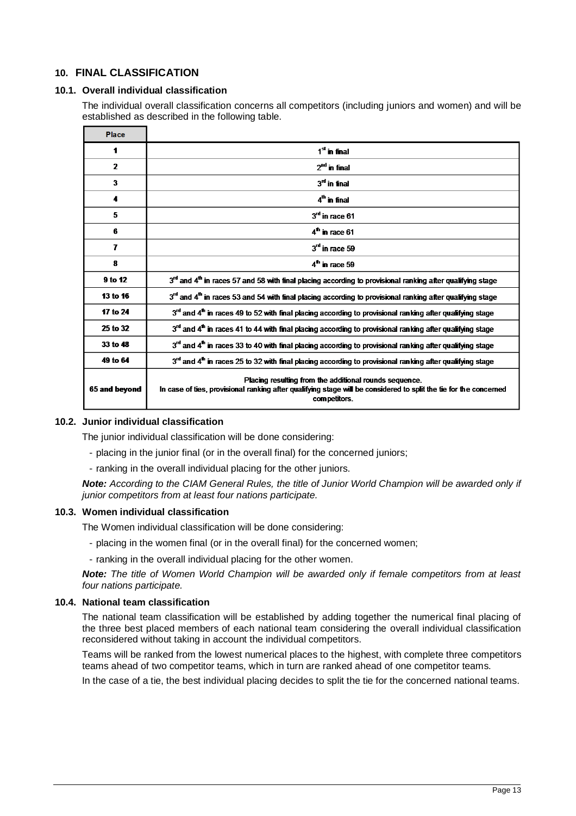## <span id="page-12-0"></span>**10. FINAL CLASSIFICATION**

#### <span id="page-12-1"></span>**10.1. Overall individual classification**

The individual overall classification concerns all competitors (including juniors and women) and will be established as described in the following table.

| <b>Place</b>   |                                                                                                                                                                                             |
|----------------|---------------------------------------------------------------------------------------------------------------------------------------------------------------------------------------------|
| 1              | $1st$ in final                                                                                                                                                                              |
| $\overline{2}$ | $2nd$ in final                                                                                                                                                                              |
| 3              | $3rd$ in final                                                                                                                                                                              |
| 4              | $4th$ in final                                                                                                                                                                              |
| 5              | $3rd$ in race 61                                                                                                                                                                            |
| 6              | $4^{\text{th}}$ in race 61                                                                                                                                                                  |
| 7              | $3rd$ in race 59                                                                                                                                                                            |
| 8              | $4th$ in race 59                                                                                                                                                                            |
| 9 to 12        | 3 <sup>rd</sup> and 4 <sup>th</sup> in races 57 and 58 with final placing according to provisional ranking after qualifying stage                                                           |
| 13 to 16       | 3 <sup>rd</sup> and 4 <sup>th</sup> in races 53 and 54 with final placing according to provisional ranking after qualifying stage                                                           |
| 17 to 24       | 3 <sup>rd</sup> and 4 <sup>th</sup> in races 49 to 52 with final placing according to provisional ranking after qualifying stage                                                            |
| 25 to 32       | $3rd$ and 4 <sup>th</sup> in races 41 to 44 with final placing according to provisional ranking after qualifying stage                                                                      |
| 33 to 48       | $3rd$ and $4th$ in races 33 to 40 with final placing according to provisional ranking after qualifying stage                                                                                |
| 49 to 64       | 3rd and 4 <sup>th</sup> in races 25 to 32 with final placing according to provisional ranking after qualifying stage                                                                        |
| 65 and beyond  | Placing resulting from the additional rounds sequence.<br>In case of ties, provisional ranking after qualifying stage will be considered to split the tie for the concerned<br>competitors. |

#### <span id="page-12-2"></span>**10.2. Junior individual classification**

The junior individual classification will be done considering:

- placing in the junior final (or in the overall final) for the concerned juniors;
- ranking in the overall individual placing for the other juniors.

*Note: According to the CIAM General Rules, the title of Junior World Champion will be awarded only if junior competitors from at least four nations participate.* 

#### <span id="page-12-3"></span>**10.3. Women individual classification**

The Women individual classification will be done considering:

- placing in the women final (or in the overall final) for the concerned women;
- ranking in the overall individual placing for the other women.

*Note: The title of Women World Champion will be awarded only if female competitors from at least four nations participate.* 

#### <span id="page-12-4"></span>**10.4. National team classification**

The national team classification will be established by adding together the numerical final placing of the three best placed members of each national team considering the overall individual classification reconsidered without taking in account the individual competitors.

Teams will be ranked from the lowest numerical places to the highest, with complete three competitors teams ahead of two competitor teams, which in turn are ranked ahead of one competitor teams.

In the case of a tie, the best individual placing decides to split the tie for the concerned national teams.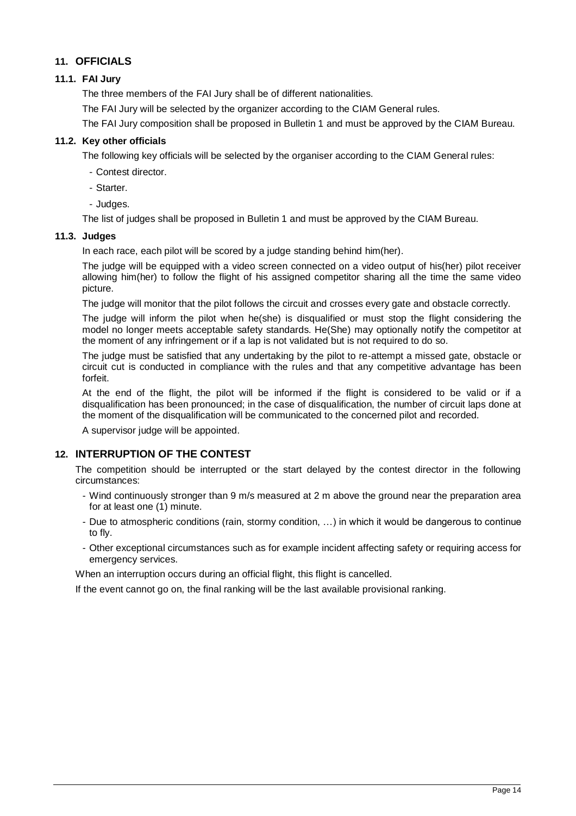## <span id="page-13-0"></span>**11. OFFICIALS**

#### <span id="page-13-1"></span>**11.1. FAI Jury**

The three members of the FAI Jury shall be of different nationalities.

The FAI Jury will be selected by the organizer according to the CIAM General rules.

The FAI Jury composition shall be proposed in Bulletin 1 and must be approved by the CIAM Bureau.

#### <span id="page-13-2"></span>**11.2. Key other officials**

The following key officials will be selected by the organiser according to the CIAM General rules:

- Contest director.
- Starter.
- Judges.

The list of judges shall be proposed in Bulletin 1 and must be approved by the CIAM Bureau.

#### <span id="page-13-3"></span>**11.3. Judges**

In each race, each pilot will be scored by a judge standing behind him(her).

The judge will be equipped with a video screen connected on a video output of his(her) pilot receiver allowing him(her) to follow the flight of his assigned competitor sharing all the time the same video picture.

The judge will monitor that the pilot follows the circuit and crosses every gate and obstacle correctly.

The judge will inform the pilot when he(she) is disqualified or must stop the flight considering the model no longer meets acceptable safety standards. He(She) may optionally notify the competitor at the moment of any infringement or if a lap is not validated but is not required to do so.

The judge must be satisfied that any undertaking by the pilot to re-attempt a missed gate, obstacle or circuit cut is conducted in compliance with the rules and that any competitive advantage has been forfeit.

At the end of the flight, the pilot will be informed if the flight is considered to be valid or if a disqualification has been pronounced; in the case of disqualification, the number of circuit laps done at the moment of the disqualification will be communicated to the concerned pilot and recorded.

A supervisor judge will be appointed.

## <span id="page-13-4"></span>**12. INTERRUPTION OF THE CONTEST**

The competition should be interrupted or the start delayed by the contest director in the following circumstances:

- Wind continuously stronger than 9 m/s measured at 2 m above the ground near the preparation area for at least one (1) minute.
- Due to atmospheric conditions (rain, stormy condition, …) in which it would be dangerous to continue to fly.
- Other exceptional circumstances such as for example incident affecting safety or requiring access for emergency services.

When an interruption occurs during an official flight, this flight is cancelled.

If the event cannot go on, the final ranking will be the last available provisional ranking.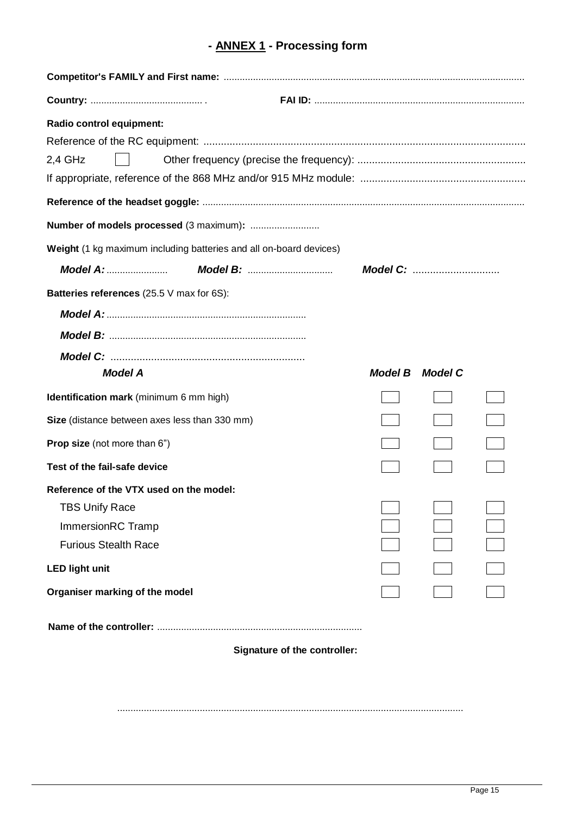# **- ANNEX 1 - Processing form**

| Radio control equipment:                                           |                |                  |  |  |  |  |  |  |
|--------------------------------------------------------------------|----------------|------------------|--|--|--|--|--|--|
|                                                                    |                |                  |  |  |  |  |  |  |
| $2,4$ GHz                                                          |                |                  |  |  |  |  |  |  |
|                                                                    |                |                  |  |  |  |  |  |  |
|                                                                    |                |                  |  |  |  |  |  |  |
|                                                                    |                |                  |  |  |  |  |  |  |
| Weight (1 kg maximum including batteries and all on-board devices) |                |                  |  |  |  |  |  |  |
|                                                                    |                | <b>Model C: </b> |  |  |  |  |  |  |
| Batteries references (25.5 V max for 6S):                          |                |                  |  |  |  |  |  |  |
|                                                                    |                |                  |  |  |  |  |  |  |
|                                                                    |                |                  |  |  |  |  |  |  |
|                                                                    |                |                  |  |  |  |  |  |  |
| <b>Model A</b>                                                     | <b>Model B</b> | <b>Model C</b>   |  |  |  |  |  |  |
| Identification mark (minimum 6 mm high)                            |                |                  |  |  |  |  |  |  |
| Size (distance between axes less than 330 mm)                      |                |                  |  |  |  |  |  |  |
| <b>Prop size</b> (not more than 6")                                |                |                  |  |  |  |  |  |  |
| Test of the fail-safe device                                       |                |                  |  |  |  |  |  |  |
| Reference of the VTX used on the model:                            |                |                  |  |  |  |  |  |  |
| <b>TBS Unify Race</b>                                              |                |                  |  |  |  |  |  |  |
| ImmersionRC Tramp                                                  |                |                  |  |  |  |  |  |  |
| <b>Furious Stealth Race</b>                                        |                |                  |  |  |  |  |  |  |
| <b>LED light unit</b>                                              |                |                  |  |  |  |  |  |  |
| Organiser marking of the model                                     |                |                  |  |  |  |  |  |  |
|                                                                    |                |                  |  |  |  |  |  |  |
| Signature of the controller:                                       |                |                  |  |  |  |  |  |  |

..................................................................................................................................